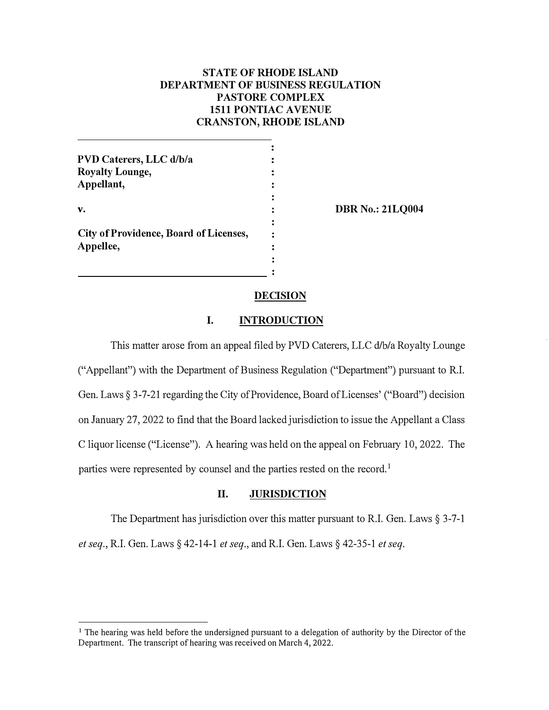# **STATE OF RHODE ISLAND DEPARTMENT OF BUSINESS REGULATION PASTORE COMPLEX 1511 PONTIAC A VENUE CRANSTON,RHODE ISLAND**

**DBR No.: 21LQ004** 

## **DECISION**

# **I. INTRODUCTION**

This matter arose from an appeal filed by PVD Caterers, LLC d/b/a Royalty Lounge ("Appellant") with the Department of Business Regulation ("Department") pursuant to R.I. Gen. Laws§ 3-7-21 regarding the City of Providence, Board of Licenses' ("Board") decision on January 27, 2022 to find that the Board lacked jurisdiction to issue the Appellant a Class C liquor license ("License"). A hearing was held on the appeal on February 10, 2022. The parties were represented by counsel and the parties rested on the record.<sup>1</sup>

# **II. JURISDICTION**

The Department has jurisdiction over this matter pursuant to R.I. Gen. Laws  $\S 3-7-1$ 

*et seq.,* R.I. Gen. Laws§ 42-14-1 *et seq.,* and R.I. Gen. Laws§ 42-35-1 *et seq.* 

**<sup>1</sup>**The hearing was held before the undersigned pursuant to a delegation of authority by the Director of the Department. The transcript of hearing was received on March 4, 2022.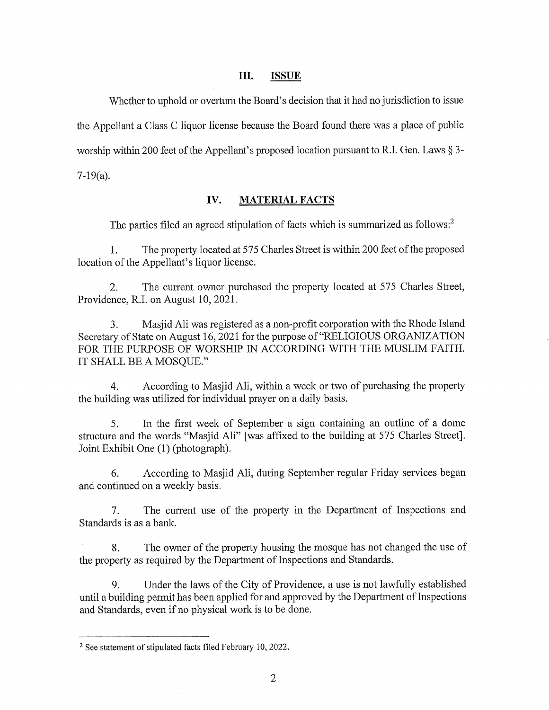#### III. **ISSUE**

Whether to uphold or overturn the Board's decision that it had no jurisdiction to issue the Appellant a Class C liquor license because the Board found there was a place of public worship within 200 feet of the Appellant's proposed location pursuant to R.I. Gen. Laws § 3-

 $7-19(a)$ .

#### IV. **MATERIAL FACTS**

The parties filed an agreed stipulation of facts which is summarized as follows:<sup>2</sup>

The property located at 575 Charles Street is within 200 feet of the proposed  $1.$ location of the Appellant's liquor license.

The current owner purchased the property located at 575 Charles Street, 2. Providence, R.I. on August 10, 2021.

Masjid Ali was registered as a non-profit corporation with the Rhode Island  $3.$ Secretary of State on August 16, 2021 for the purpose of "RELIGIOUS ORGANIZATION" FOR THE PURPOSE OF WORSHIP IN ACCORDING WITH THE MUSLIM FAITH. IT SHALL BE A MOSQUE."

According to Masjid Ali, within a week or two of purchasing the property  $4.$ the building was utilized for individual prayer on a daily basis.

In the first week of September a sign containing an outline of a dome 5. structure and the words "Masjid Ali" [was affixed to the building at 575 Charles Street]. Joint Exhibit One (1) (photograph).

6. According to Masjid Ali, during September regular Friday services began and continued on a weekly basis.

The current use of the property in the Department of Inspections and  $7<sub>1</sub>$ Standards is as a bank.

The owner of the property housing the mosque has not changed the use of 8. the property as required by the Department of Inspections and Standards.

Under the laws of the City of Providence, a use is not lawfully established 9. until a building permit has been applied for and approved by the Department of Inspections and Standards, even if no physical work is to be done.

<sup>&</sup>lt;sup>2</sup> See statement of stipulated facts filed February 10, 2022.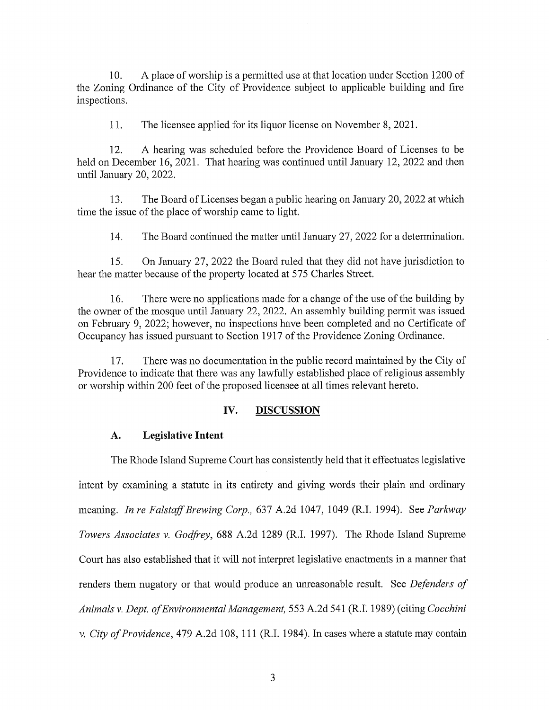A place of worship is a permitted use at that location under Section 1200 of 10. the Zoning Ordinance of the City of Providence subject to applicable building and fire inspections.

 $11.$ The licensee applied for its liquor license on November 8, 2021.

 $12.$ A hearing was scheduled before the Providence Board of Licenses to be held on December 16, 2021. That hearing was continued until January 12, 2022 and then until January 20, 2022.

 $13.$ The Board of Licenses began a public hearing on January 20, 2022 at which time the issue of the place of worship came to light.

14. The Board continued the matter until January 27, 2022 for a determination.

 $15.$ On January 27, 2022 the Board ruled that they did not have jurisdiction to hear the matter because of the property located at 575 Charles Street.

 $16.$ There were no applications made for a change of the use of the building by the owner of the mosque until January 22, 2022. An assembly building permit was issued on February 9, 2022; however, no inspections have been completed and no Certificate of Occupancy has issued pursuant to Section 1917 of the Providence Zoning Ordinance.

17. There was no documentation in the public record maintained by the City of Providence to indicate that there was any lawfully established place of religious assembly or worship within 200 feet of the proposed licensee at all times relevant hereto.

#### IV. **DISCUSSION**

#### $\mathbf{A}$ . **Legislative Intent**

The Rhode Island Supreme Court has consistently held that it effectuates legislative intent by examining a statute in its entirety and giving words their plain and ordinary meaning. In re Falstaff Brewing Corp., 637 A.2d 1047, 1049 (R.I. 1994). See Parkway Towers Associates v. Godfrey, 688 A.2d 1289 (R.I. 1997). The Rhode Island Supreme Court has also established that it will not interpret legislative enactments in a manner that renders them nugatory or that would produce an unreasonable result. See *Defenders of* Animals v. Dept. of Environmental Management, 553 A.2d 541 (R.I. 1989) (citing Cocchini v. City of Providence, 479 A.2d 108, 111 (R.I. 1984). In cases where a statute may contain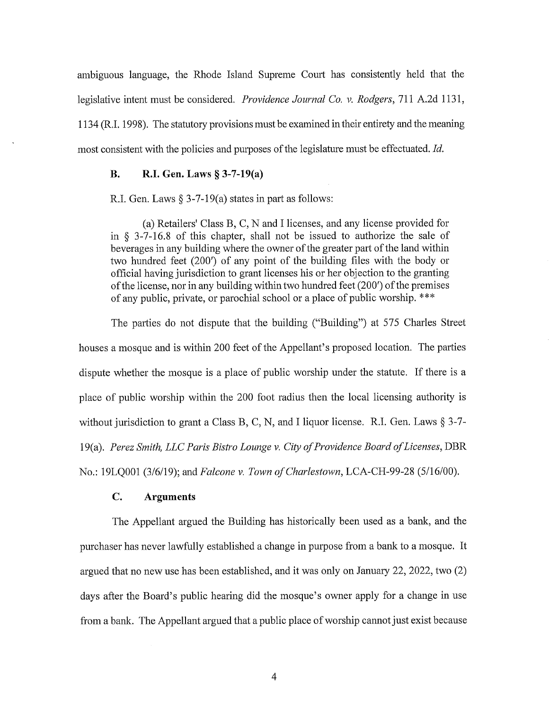ambiguous language, the Rhode Island Supreme Court has consistently held that the legislative intent must be considered. Providence Journal Co. v. Rodgers, 711 A.2d 1131, 1134 (R.I. 1998). The statutory provisions must be examined in their entirety and the meaning most consistent with the policies and purposes of the legislature must be effectuated. Id.

#### **B.** R.I. Gen. Laws § 3-7-19(a)

R.I. Gen. Laws  $\S 3$ -7-19(a) states in part as follows:

(a) Retailers' Class B, C, N and I licenses, and any license provided for in  $\S$  3-7-16.8 of this chapter, shall not be issued to authorize the sale of beverages in any building where the owner of the greater part of the land within two hundred feet (200') of any point of the building files with the body or official having jurisdiction to grant licenses his or her objection to the granting of the license, nor in any building within two hundred feet (200') of the premises of any public, private, or parochial school or a place of public worship. \*\*\*

The parties do not dispute that the building ("Building") at 575 Charles Street houses a mosque and is within 200 feet of the Appellant's proposed location. The parties dispute whether the mosque is a place of public worship under the statute. If there is a place of public worship within the 200 foot radius then the local licensing authority is without jurisdiction to grant a Class B, C, N, and I liquor license. R.I. Gen. Laws  $\S 3-7$ -19(a). Perez Smith, LLC Paris Bistro Lounge v. City of Providence Board of Licenses, DBR No.: 19LQ001 (3/6/19); and Falcone v. Town of Charlestown, LCA-CH-99-28 (5/16/00).

#### $\mathbf{C}$ . **Arguments**

The Appellant argued the Building has historically been used as a bank, and the purchaser has never lawfully established a change in purpose from a bank to a mosque. It argued that no new use has been established, and it was only on January 22, 2022, two  $(2)$ days after the Board's public hearing did the mosque's owner apply for a change in use from a bank. The Appellant argued that a public place of worship cannot just exist because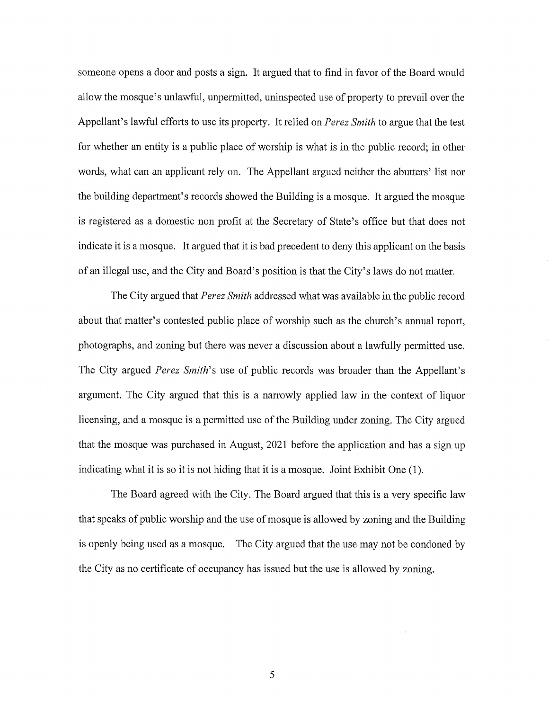someone opens a door and posts a sign. It argued that to find in favor of the Board would allow the mosque's unlawful, unpermitted, uninspected use of property to prevail over the Appellant's lawful efforts to use its property. It relied on Perez Smith to argue that the test for whether an entity is a public place of worship is what is in the public record; in other words, what can an applicant rely on. The Appellant argued neither the abutters' list nor the building department's records showed the Building is a mosque. It argued the mosque is registered as a domestic non profit at the Secretary of State's office but that does not indicate it is a mosque. It argued that it is bad precedent to deny this applicant on the basis of an illegal use, and the City and Board's position is that the City's laws do not matter.

The City argued that *Perez Smith* addressed what was available in the public record about that matter's contested public place of worship such as the church's annual report, photographs, and zoning but there was never a discussion about a lawfully permitted use. The City argued Perez Smith's use of public records was broader than the Appellant's argument. The City argued that this is a narrowly applied law in the context of liquor licensing, and a mosque is a permitted use of the Building under zoning. The City argued that the mosque was purchased in August, 2021 before the application and has a sign up indicating what it is so it is not hiding that it is a mosque. Joint Exhibit One (1).

The Board agreed with the City. The Board argued that this is a very specific law that speaks of public worship and the use of mosque is allowed by zoning and the Building is openly being used as a mosque. The City argued that the use may not be condoned by the City as no certificate of occupancy has issued but the use is allowed by zoning.

5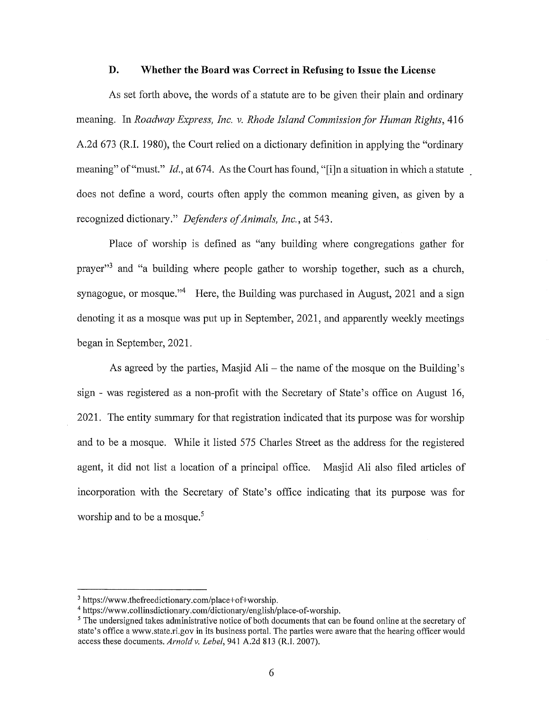#### D. Whether the Board was Correct in Refusing to Issue the License

As set forth above, the words of a statute are to be given their plain and ordinary meaning. In Roadway Express, Inc. v. Rhode Island Commission for Human Rights, 416 A.2d 673 (R.I. 1980), the Court relied on a dictionary definition in applying the "ordinary meaning" of "must." *Id.*, at 674. As the Court has found, "[i]n a situation in which a statute does not define a word, courts often apply the common meaning given, as given by a recognized dictionary." Defenders of Animals, Inc., at 543.

Place of worship is defined as "any building where congregations gather for prayer"<sup>3</sup> and "a building where people gather to worship together, such as a church, synagogue, or mosque."<sup>4</sup> Here, the Building was purchased in August, 2021 and a sign denoting it as a mosque was put up in September, 2021, and apparently weekly meetings began in September, 2021.

As agreed by the parties, Masjid Ali – the name of the mosque on the Building's sign - was registered as a non-profit with the Secretary of State's office on August 16, 2021. The entity summary for that registration indicated that its purpose was for worship and to be a mosque. While it listed 575 Charles Street as the address for the registered agent, it did not list a location of a principal office. Masjid Ali also filed articles of incorporation with the Secretary of State's office indicating that its purpose was for worship and to be a mosque.<sup>5</sup>

<sup>&</sup>lt;sup>3</sup> https://www.thefreedictionary.com/place+of+worship.

<sup>&</sup>lt;sup>4</sup> https://www.collinsdictionary.com/dictionary/english/place-of-worship.

<sup>&</sup>lt;sup>5</sup> The undersigned takes administrative notice of both documents that can be found online at the secretary of state's office a www.state.ri.gov in its business portal. The parties were aware that the hearing officer would access these documents. Arnold v. Lebel, 941 A.2d 813 (R.I. 2007).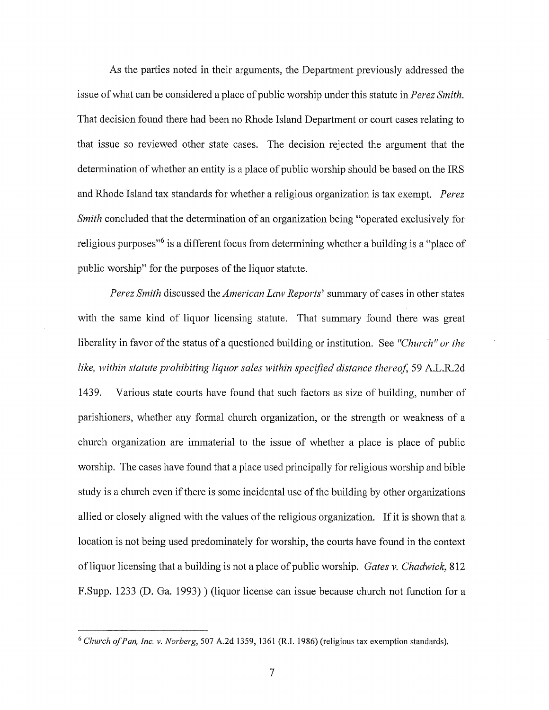As the parties noted in their arguments, the Department previously addressed the issue of what can be considered a place of public worship under this statute in *Perez Smith*. That decision found there had been no Rhode Island Department or court cases relating to that issue so reviewed other state cases. The decision rejected the argument that the determination of whether an entity is a place of public worship should be based on the IRS and Rhode Island tax standards for whether a religious organization is tax exempt. *Perez* Smith concluded that the determination of an organization being "operated exclusively for religious purposes<sup>"6</sup> is a different focus from determining whether a building is a "place of public worship" for the purposes of the liquor statute.

Perez Smith discussed the American Law Reports' summary of cases in other states with the same kind of liquor licensing statute. That summary found there was great liberality in favor of the status of a questioned building or institution. See "Church" or the like, within statute prohibiting liquor sales within specified distance thereof, 59 A.L.R.2d 1439. Various state courts have found that such factors as size of building, number of parishioners, whether any formal church organization, or the strength or weakness of a church organization are immaterial to the issue of whether a place is place of public worship. The cases have found that a place used principally for religious worship and bible study is a church even if there is some incidental use of the building by other organizations allied or closely aligned with the values of the religious organization. If it is shown that a location is not being used predominately for worship, the courts have found in the context of liquor licensing that a building is not a place of public worship. Gates v. Chadwick, 812 F.Supp. 1233 (D. Ga. 1993) ) (liquor license can issue because church not function for a

<sup>&</sup>lt;sup>6</sup> Church of Pan, Inc. v. Norberg, 507 A.2d 1359, 1361 (R.I. 1986) (religious tax exemption standards).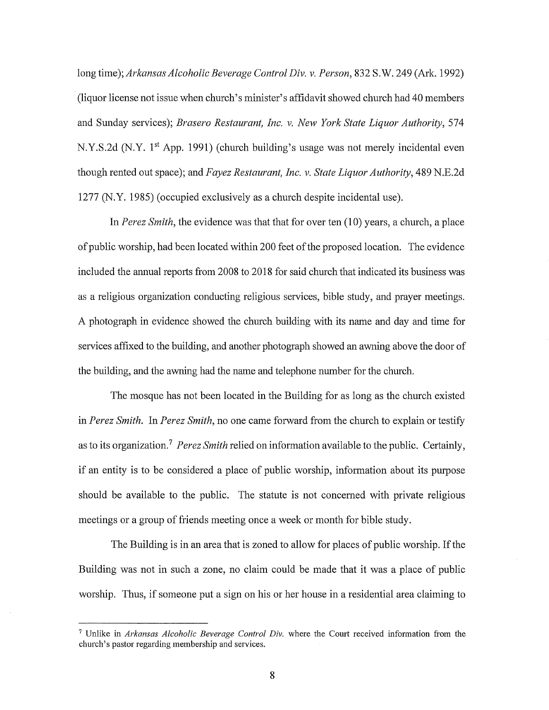long time); Arkansas Alcoholic Beverage Control Div. v. Person, 832 S.W. 249 (Ark. 1992) (liquor license not issue when church's minister's affidavit showed church had 40 members and Sunday services); Brasero Restaurant, Inc. v. New York State Liquor Authority, 574 N.Y.S.2d (N.Y. 1<sup>st</sup> App. 1991) (church building's usage was not merely incidental even though rented out space); and Fayez Restaurant, Inc. y. State Liquor Authority, 489 N.E.2d 1277 (N.Y. 1985) (occupied exclusively as a church despite incidental use).

In Perez Smith, the evidence was that that for over ten (10) years, a church, a place of public worship, had been located within 200 feet of the proposed location. The evidence included the annual reports from 2008 to 2018 for said church that indicated its business was as a religious organization conducting religious services, bible study, and prayer meetings. A photograph in evidence showed the church building with its name and day and time for services affixed to the building, and another photograph showed an awning above the door of the building, and the awning had the name and telephone number for the church.

The mosque has not been located in the Building for as long as the church existed in Perez Smith. In Perez Smith, no one came forward from the church to explain or testify as to its organization.<sup>7</sup> Perez Smith relied on information available to the public. Certainly, if an entity is to be considered a place of public worship, information about its purpose should be available to the public. The statute is not concerned with private religious meetings or a group of friends meeting once a week or month for bible study.

The Building is in an area that is zoned to allow for places of public worship. If the Building was not in such a zone, no claim could be made that it was a place of public worship. Thus, if someone put a sign on his or her house in a residential area claiming to

<sup>&</sup>lt;sup>7</sup> Unlike in Arkansas Alcoholic Beverage Control Div, where the Court received information from the church's pastor regarding membership and services.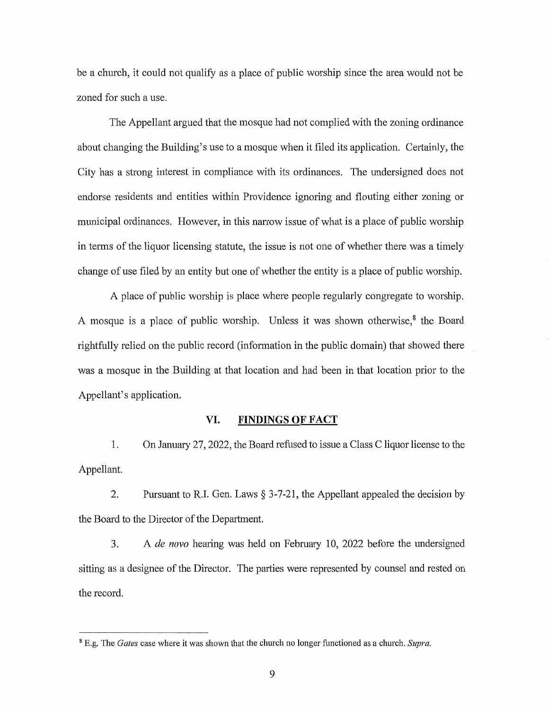be a church, it could not qualify as a place of public worship since the area would not be zoned for such a use.

The Appellant argued that the mosque had not complied with the zoning ordinance about changing the Building's use to a mosque when it filed its application. Certainly, the City has a strong interest in compliance with its ordinances. The undersigned does not endorse residents and entities within Providence ignoring and flouting either zoning or municipal ordinances. However, in this narrow issue of what is a place of public worship in terms of the liquor licensing statute, the issue is not one of whether there was a timely change of use filed by an entity but one of whether the entity is a place of public worship.

A place of public worship is place where people regularly congregate to worship. A mosque is a place of public worship. Unless it was shown otherwise,<sup>8</sup> the Board rightfully relied on the public record (information in the public domain) that showed there was a mosque in the Building at that location and had been in that location prior to the Appellant's application.

#### VI. **FINDINGS OF FACT**

On January 27, 2022, the Board refused to issue a Class C liquor license to the 1. Appellant.

2. Pursuant to R.I. Gen. Laws  $\S 3$ -7-21, the Appellant appealed the decision by the Board to the Director of the Department.

A de novo hearing was held on February 10, 2022 before the undersigned 3. sitting as a designee of the Director. The parties were represented by counsel and rested on the record.

<sup>&</sup>lt;sup>8</sup> E.g. The *Gates* case where it was shown that the church no longer functioned as a church. Supra.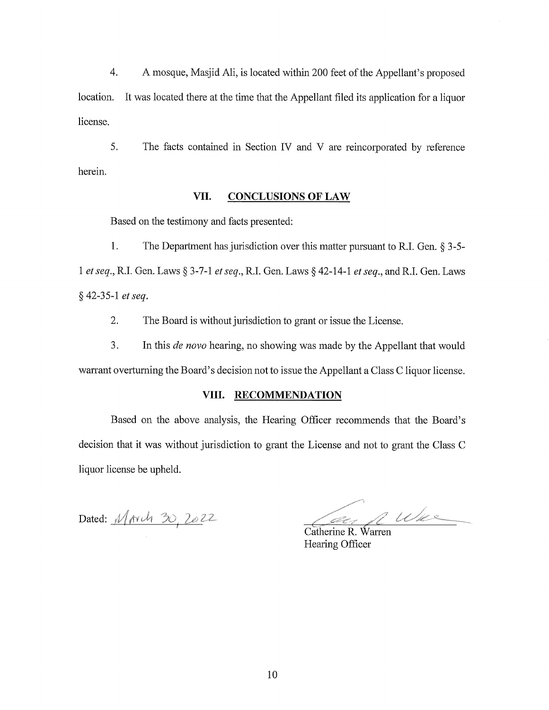$4.$ A mosque, Masjid Ali, is located within 200 feet of the Appellant's proposed location. It was located there at the time that the Appellant filed its application for a liquor license.

5. The facts contained in Section IV and V are reincorporated by reference herein.

#### VII. **CONCLUSIONS OF LAW**

Based on the testimony and facts presented:

1. The Department has jurisdiction over this matter pursuant to R.I. Gen.  $\S 3$ -5-1 et seq., R.I. Gen. Laws § 3-7-1 et seq., R.I. Gen. Laws § 42-14-1 et seq., and R.I. Gen. Laws § 42-35-1 et seq.

2. The Board is without jurisdiction to grant or issue the License.

3. In this *de novo* hearing, no showing was made by the Appellant that would warrant overturning the Board's decision not to issue the Appellant a Class C liquor license.

# VIII. RECOMMENDATION

Based on the above analysis, the Hearing Officer recommends that the Board's decision that it was without jurisdiction to grant the License and not to grant the Class C liquor license be upheld.

Dated: March 30, 2022

n War .<br>Al-C

Catherine R. Warren Hearing Officer